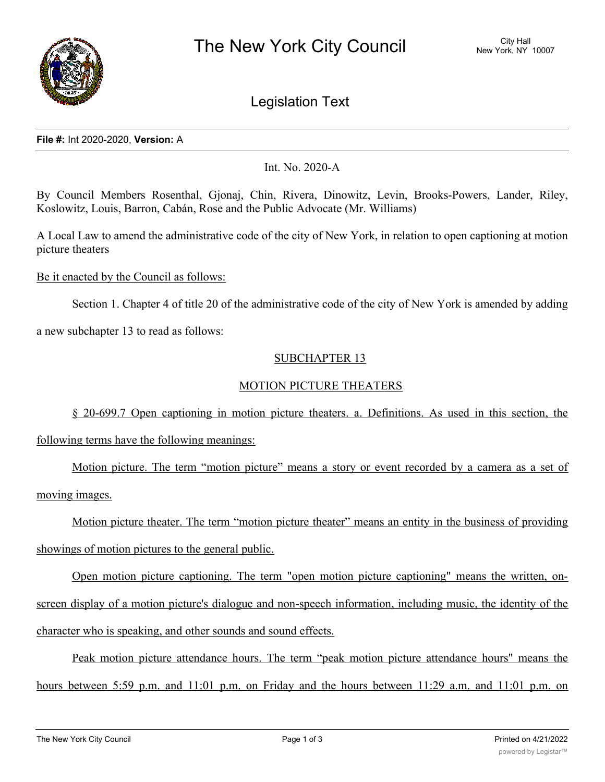

# Legislation Text

### **File #:** Int 2020-2020, **Version:** A

Int. No. 2020-A

By Council Members Rosenthal, Gjonaj, Chin, Rivera, Dinowitz, Levin, Brooks-Powers, Lander, Riley, Koslowitz, Louis, Barron, Cabán, Rose and the Public Advocate (Mr. Williams)

A Local Law to amend the administrative code of the city of New York, in relation to open captioning at motion picture theaters

Be it enacted by the Council as follows:

Section 1. Chapter 4 of title 20 of the administrative code of the city of New York is amended by adding

a new subchapter 13 to read as follows:

### SUBCHAPTER 13

## MOTION PICTURE THEATERS

§ 20-699.7 Open captioning in motion picture theaters. a. Definitions. As used in this section, the following terms have the following meanings:

Motion picture. The term "motion picture" means a story or event recorded by a camera as a set of moving images.

Motion picture theater. The term "motion picture theater" means an entity in the business of providing showings of motion pictures to the general public.

Open motion picture captioning. The term "open motion picture captioning" means the written, onscreen display of a motion picture's dialogue and non-speech information, including music, the identity of the character who is speaking, and other sounds and sound effects.

Peak motion picture attendance hours. The term "peak motion picture attendance hours" means the hours between 5:59 p.m. and 11:01 p.m. on Friday and the hours between 11:29 a.m. and 11:01 p.m. on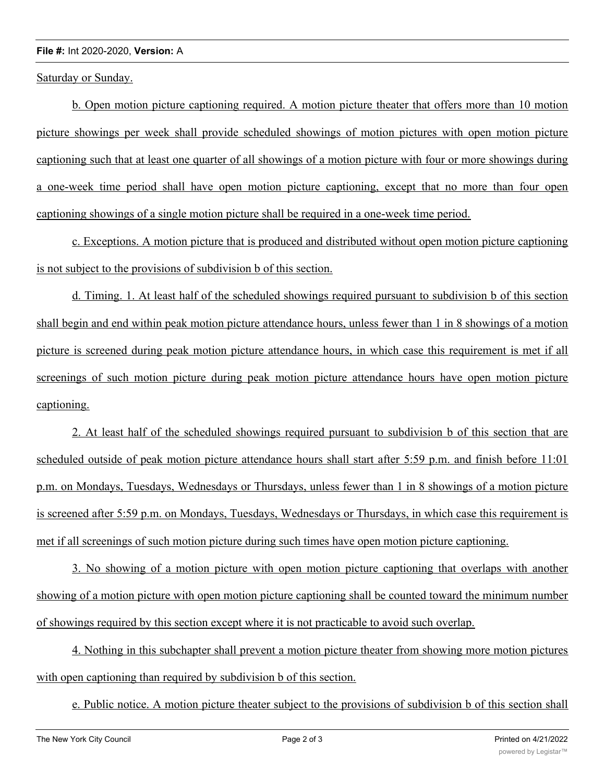#### **File #:** Int 2020-2020, **Version:** A

Saturday or Sunday.

b. Open motion picture captioning required. A motion picture theater that offers more than 10 motion picture showings per week shall provide scheduled showings of motion pictures with open motion picture captioning such that at least one quarter of all showings of a motion picture with four or more showings during a one-week time period shall have open motion picture captioning, except that no more than four open captioning showings of a single motion picture shall be required in a one-week time period.

c. Exceptions. A motion picture that is produced and distributed without open motion picture captioning is not subject to the provisions of subdivision b of this section.

d. Timing. 1. At least half of the scheduled showings required pursuant to subdivision b of this section shall begin and end within peak motion picture attendance hours, unless fewer than 1 in 8 showings of a motion picture is screened during peak motion picture attendance hours, in which case this requirement is met if all screenings of such motion picture during peak motion picture attendance hours have open motion picture captioning.

2. At least half of the scheduled showings required pursuant to subdivision b of this section that are scheduled outside of peak motion picture attendance hours shall start after 5:59 p.m. and finish before 11:01 p.m. on Mondays, Tuesdays, Wednesdays or Thursdays, unless fewer than 1 in 8 showings of a motion picture is screened after 5:59 p.m. on Mondays, Tuesdays, Wednesdays or Thursdays, in which case this requirement is met if all screenings of such motion picture during such times have open motion picture captioning.

3. No showing of a motion picture with open motion picture captioning that overlaps with another showing of a motion picture with open motion picture captioning shall be counted toward the minimum number of showings required by this section except where it is not practicable to avoid such overlap.

4. Nothing in this subchapter shall prevent a motion picture theater from showing more motion pictures with open captioning than required by subdivision b of this section.

e. Public notice. A motion picture theater subject to the provisions of subdivision b of this section shall